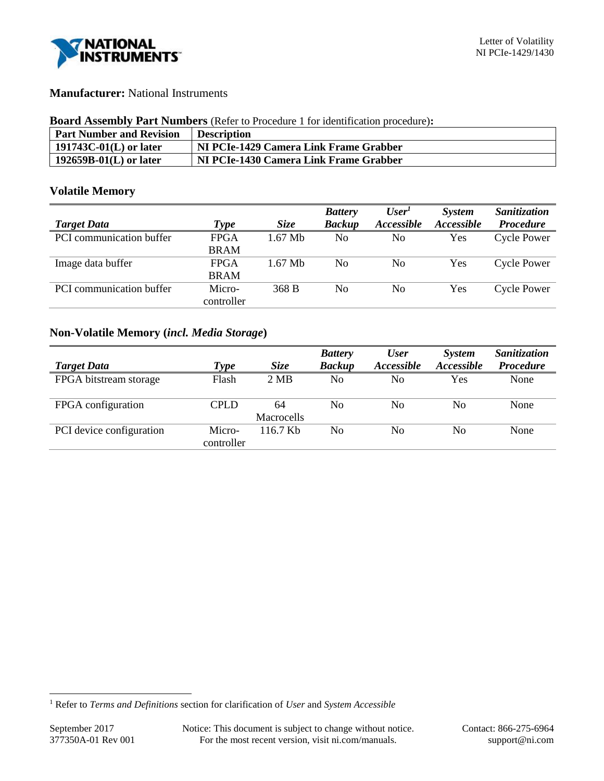

# **Manufacturer:** National Instruments

#### **Board Assembly Part Numbers** (Refer to Procedure 1 for identification procedure)**:**

| <b>Part Number and Revision</b> | <b>Description</b>                     |
|---------------------------------|----------------------------------------|
| 191743C-01 $(L)$ or later       | NI PCIe-1429 Camera Link Frame Grabber |
| $192659B-01(L)$ or later        | NI PCIe-1430 Camera Link Frame Grabber |

# **Volatile Memory**

|                          |             |             | <b>Battery</b> | User <sup>1</sup> | System     | Sanitization     |
|--------------------------|-------------|-------------|----------------|-------------------|------------|------------------|
| <b>Target Data</b>       | Type        | <i>Size</i> | <b>Backup</b>  | Accessible        | Accessible | <b>Procedure</b> |
| PCI communication buffer | <b>FPGA</b> | $1.67$ Mb   | No             | No                | Yes        | Cycle Power      |
|                          | <b>BRAM</b> |             |                |                   |            |                  |
| Image data buffer        | <b>FPGA</b> | $1.67$ Mb   | No             | No                | Yes        | Cycle Power      |
|                          | <b>BRAM</b> |             |                |                   |            |                  |
| PCI communication buffer | Micro-      | 368 B       | No             | No                | Yes        | Cycle Power      |
|                          | controller  |             |                |                   |            |                  |

# **Non-Volatile Memory (***incl. Media Storage***)**

|                          |                      |                         | <b>Battery</b> | <b>User</b>              | System            | Sanitization     |
|--------------------------|----------------------|-------------------------|----------------|--------------------------|-------------------|------------------|
| <b>Target Data</b>       | Type                 | <b>Size</b>             | <b>Backup</b>  | <i><b>Accessible</b></i> | <b>Accessible</b> | <b>Procedure</b> |
| FPGA bitstream storage   | Flash                | 2 MB                    | No             | No                       | Yes               | None             |
| FPGA configuration       | CPLD                 | 64<br><b>Macrocells</b> | No             | No                       | No                | None             |
| PCI device configuration | Micro-<br>controller | $116.7$ Kb              | No             | No                       | No                | None             |

l

<sup>1</sup> Refer to *Terms and Definitions* section for clarification of *User* and *System Accessible*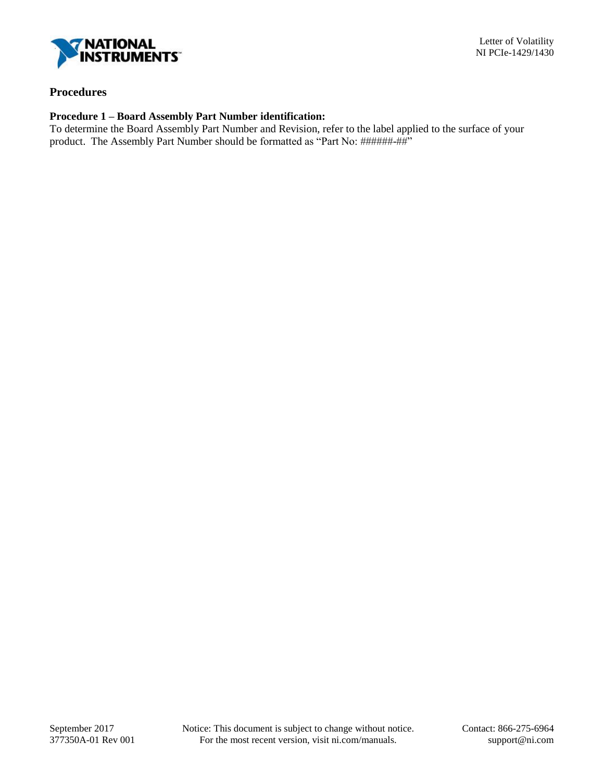

## **Procedures**

## **Procedure 1 – Board Assembly Part Number identification:**

To determine the Board Assembly Part Number and Revision, refer to the label applied to the surface of your product. The Assembly Part Number should be formatted as "Part No: ######-##"